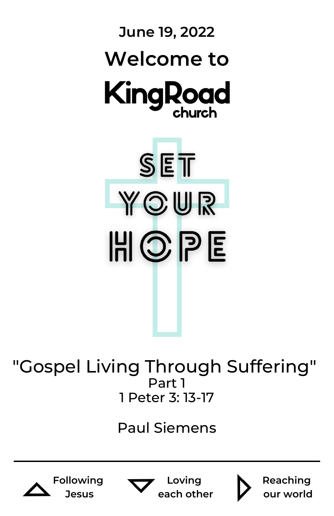

"Gospel Living Through Suffering" Part 1 1 Peter 3: 13-17

### Paul Siemens









**Reaching our world**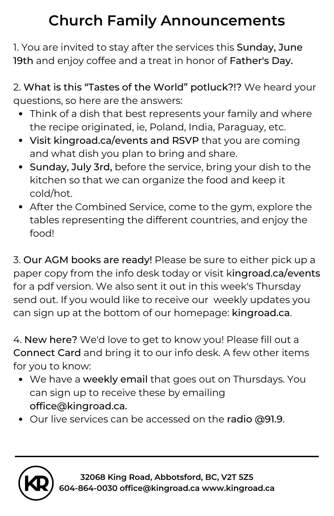## **Church Family Announcements**

1. You are invited to stay after the services this Sunday, June 19th and enjoy coffee and a treat in honor of Father's Day.

2. What is this "Tastes of the World" potluck?!? We heard your questions, so here are the answers:

- Think of a dish that best represents your family and where the recipe originated, ie, Poland, India, Paraguay, etc.
- Visit kingroad.ca/events and RSVP that you are coming and what dish you plan to bring and share.
- Sunday, July 3rd, before the service, bring your dish to the kitchen so that we can organize the food and keep it cold/hot.
- After the Combined Service, come to the gym, explore the tables representing the different countries, and enjoy the food!

3. Our AGM books are ready! Please be sure to either pick up a paper copy from the info desk today or visit kingroad.ca/events for a pdf version. We also sent it out in this week's Thursday send out. If you would like to receive our weekly updates you can sign up at the bottom of our homepage: kingroad.ca.

4. New here? We'd love to get to know you! Please fill out a Connect Card and bring it to our info desk. A few other items for you to know:

- We have a weekly email that goes out on Thursdays. You can sign up to receive these by emailing office@kingroad.ca.
- Our live services can be accessed on the radio @91.9.

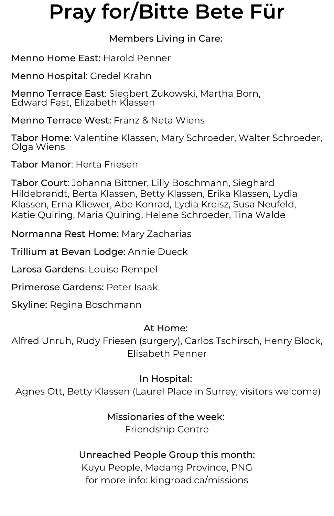## **Pray for/Bitte Bete Für**

#### Members Living in Care:

Menno Home East: Harold Penner

Menno Hospital: Gredel Krahn

Menno Terrace East: Siegbert Zukowski, Martha Born, Edward Fast, Elizabeth Klassen

Menno Terrace West: Franz & Neta Wiens

Tabor Home: Valentine Klassen, Mary Schroeder, Walter Schroeder, Olga Wiens

Tabor Manor: Herta Friesen

Tabor Court: Johanna Bittner, Lilly Boschmann, Sieghard Hildebrandt, Berta Klassen, Betty Klassen, Erika Klassen, Lydia Klassen, Erna Kliewer, Abe Konrad, Lydia Kreisz, Susa Neufeld, Katie Quiring, Maria Quiring, Helene Schroeder, Tina Walde

Normanna Rest Home: Mary Zacharias

Trillium at Bevan Lodge: Annie Dueck

Larosa Gardens: Louise Rempel

Primerose Gardens: Peter Isaak.

Skyline: Regina Boschmann

#### At Home:

Alfred Unruh, Rudy Friesen (surgery), Carlos Tschirsch, Henry Block, Elisabeth Penner

#### In Hospital:

Agnes Ott, Betty Klassen (Laurel Place in Surrey, visitors welcome)

### Missionaries of the week:

Friendship Centre

#### Unreached People Group this month:

Kuyu People, Madang Province, PNG for more info: kingroad.ca/missions